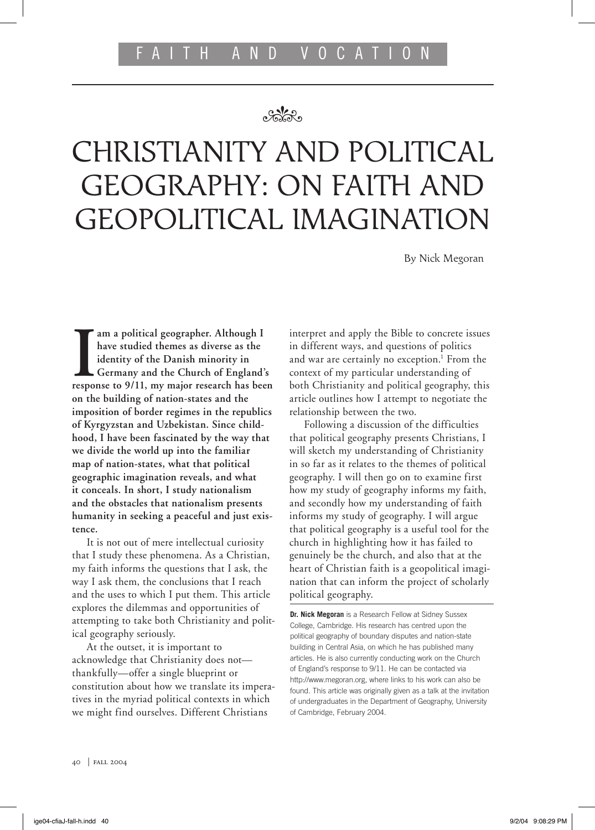

# CHRISTIANITY AND POLITICAL GEOGRAPHY: ON FAITH AND GEOPOLITICAL IMAGINATION

By Nick Megoran

**I** am a political geographer. Although I have studied themes as diverse as the identity of the Danish minority in Germany and the Church of England's response to 9/11, my major research has been **have studied themes as diverse as the identity of the Danish minority in Germany and the Church of England's on the building of nation-states and the imposition of border regimes in the republics of Kyrgyzstan and Uzbekistan. Since childhood, I have been fascinated by the way that we divide the world up into the familiar map of nation-states, what that political geographic imagination reveals, and what it conceals. In short, I study nationalism and the obstacles that nationalism presents humanity in seeking a peaceful and just existence.**

It is not out of mere intellectual curiosity that I study these phenomena. As a Christian, my faith informs the questions that I ask, the way I ask them, the conclusions that I reach and the uses to which I put them. This article explores the dilemmas and opportunities of attempting to take both Christianity and political geography seriously.

At the outset, it is important to acknowledge that Christianity does not thankfully—offer a single blueprint or constitution about how we translate its imperatives in the myriad political contexts in which we might find ourselves. Different Christians

interpret and apply the Bible to concrete issues in different ways, and questions of politics and war are certainly no exception.<sup>1</sup> From the context of my particular understanding of both Christianity and political geography, this article outlines how I attempt to negotiate the relationship between the two.

Following a discussion of the difficulties that political geography presents Christians, I will sketch my understanding of Christianity in so far as it relates to the themes of political geography. I will then go on to examine first how my study of geography informs my faith, and secondly how my understanding of faith informs my study of geography. I will argue that political geography is a useful tool for the church in highlighting how it has failed to genuinely be the church, and also that at the heart of Christian faith is a geopolitical imagination that can inform the project of scholarly political geography.

**Dr. Nick Megoran** is a Research Fellow at Sidney Sussex College, Cambridge. His research has centred upon the political geography of boundary disputes and nation-state building in Central Asia, on which he has published many articles. He is also currently conducting work on the Church of England's response to 9/11. He can be contacted via http://www.megoran.org, where links to his work can also be found. This article was originally given as a talk at the invitation of undergraduates in the Department of Geography, University of Cambridge, February 2004.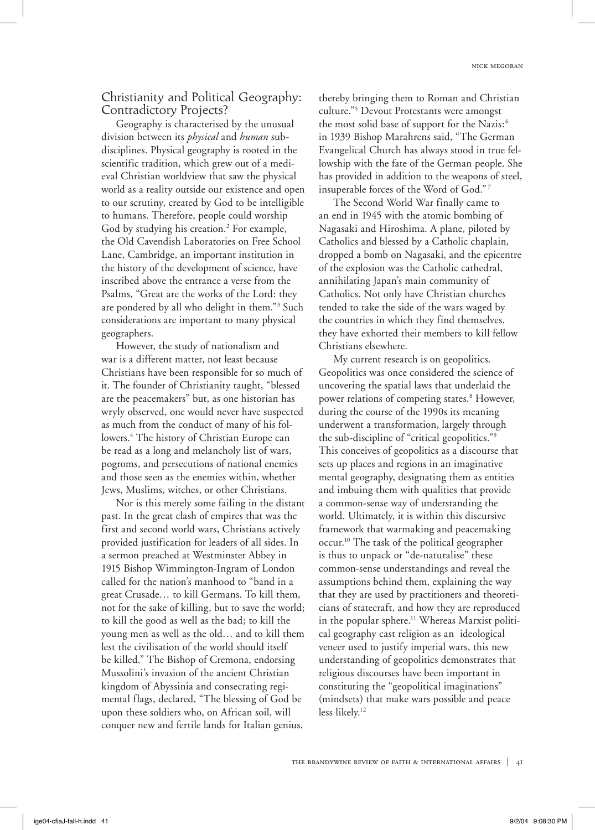### Christianity and Political Geography: Contradictory Projects?

Geography is characterised by the unusual division between its *physical* and *human* subdisciplines. Physical geography is rooted in the scientific tradition, which grew out of a medieval Christian worldview that saw the physical world as a reality outside our existence and open to our scrutiny, created by God to be intelligible to humans. Therefore, people could worship God by studying his creation.<sup>2</sup> For example, the Old Cavendish Laboratories on Free School Lane, Cambridge, an important institution in the history of the development of science, have inscribed above the entrance a verse from the Psalms, "Great are the works of the Lord: they are pondered by all who delight in them."3 Such considerations are important to many physical geographers.

However, the study of nationalism and war is a different matter, not least because Christians have been responsible for so much of it. The founder of Christianity taught, "blessed are the peacemakers" but, as one historian has wryly observed, one would never have suspected as much from the conduct of many of his followers.4 The history of Christian Europe can be read as a long and melancholy list of wars, pogroms, and persecutions of national enemies and those seen as the enemies within, whether Jews, Muslims, witches, or other Christians.

Nor is this merely some failing in the distant past. In the great clash of empires that was the first and second world wars, Christians actively provided justification for leaders of all sides. In a sermon preached at Westminster Abbey in 1915 Bishop Wimmington-Ingram of London called for the nation's manhood to "band in a great Crusade… to kill Germans. To kill them, not for the sake of killing, but to save the world; to kill the good as well as the bad; to kill the young men as well as the old… and to kill them lest the civilisation of the world should itself be killed." The Bishop of Cremona, endorsing Mussolini's invasion of the ancient Christian kingdom of Abyssinia and consecrating regimental flags, declared, "The blessing of God be upon these soldiers who, on African soil, will conquer new and fertile lands for Italian genius,

thereby bringing them to Roman and Christian culture."5 Devout Protestants were amongst the most solid base of support for the Nazis:<sup>6</sup> in 1939 Bishop Marahrens said, "The German Evangelical Church has always stood in true fellowship with the fate of the German people. She has provided in addition to the weapons of steel, insuperable forces of the Word of God." 7

The Second World War finally came to an end in 1945 with the atomic bombing of Nagasaki and Hiroshima. A plane, piloted by Catholics and blessed by a Catholic chaplain, dropped a bomb on Nagasaki, and the epicentre of the explosion was the Catholic cathedral, annihilating Japan's main community of Catholics. Not only have Christian churches tended to take the side of the wars waged by the countries in which they find themselves, they have exhorted their members to kill fellow Christians elsewhere.

My current research is on geopolitics. Geopolitics was once considered the science of uncovering the spatial laws that underlaid the power relations of competing states.<sup>8</sup> However, during the course of the 1990s its meaning underwent a transformation, largely through the sub-discipline of "critical geopolitics."9 This conceives of geopolitics as a discourse that sets up places and regions in an imaginative mental geography, designating them as entities and imbuing them with qualities that provide a common-sense way of understanding the world. Ultimately, it is within this discursive framework that warmaking and peacemaking occur.10 The task of the political geographer is thus to unpack or "de-naturalise" these common-sense understandings and reveal the assumptions behind them, explaining the way that they are used by practitioners and theoreticians of statecraft, and how they are reproduced in the popular sphere.<sup>11</sup> Whereas Marxist political geography cast religion as an ideological veneer used to justify imperial wars, this new understanding of geopolitics demonstrates that religious discourses have been important in constituting the "geopolitical imaginations" (mindsets) that make wars possible and peace less likely.12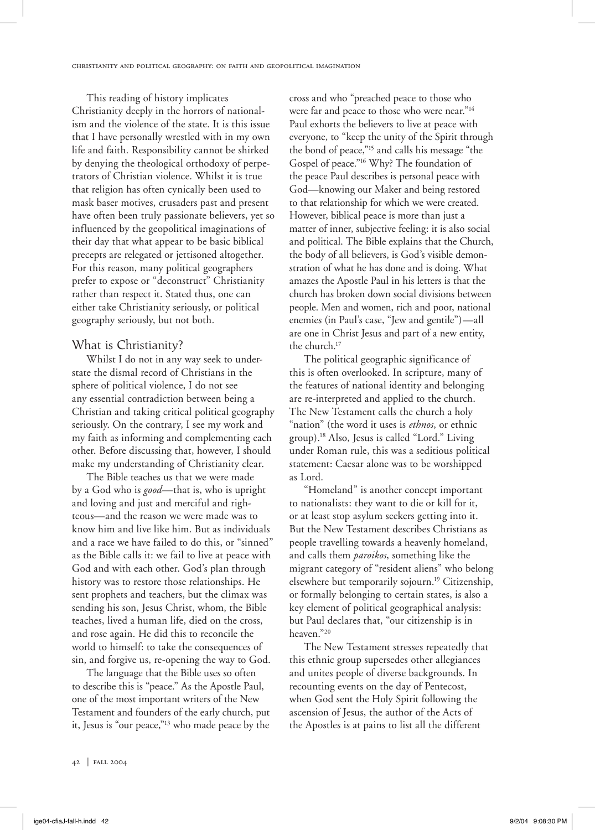This reading of history implicates Christianity deeply in the horrors of nationalism and the violence of the state. It is this issue that I have personally wrestled with in my own life and faith. Responsibility cannot be shirked by denying the theological orthodoxy of perpetrators of Christian violence. Whilst it is true that religion has often cynically been used to mask baser motives, crusaders past and present have often been truly passionate believers, yet so influenced by the geopolitical imaginations of their day that what appear to be basic biblical precepts are relegated or jettisoned altogether. For this reason, many political geographers prefer to expose or "deconstruct" Christianity rather than respect it. Stated thus, one can either take Christianity seriously, or political geography seriously, but not both.

#### What is Christianity?

Whilst I do not in any way seek to understate the dismal record of Christians in the sphere of political violence, I do not see any essential contradiction between being a Christian and taking critical political geography seriously. On the contrary, I see my work and my faith as informing and complementing each other. Before discussing that, however, I should make my understanding of Christianity clear.

The Bible teaches us that we were made by a God who is *good*—that is, who is upright and loving and just and merciful and righteous—and the reason we were made was to know him and live like him. But as individuals and a race we have failed to do this, or "sinned" as the Bible calls it: we fail to live at peace with God and with each other. God's plan through history was to restore those relationships. He sent prophets and teachers, but the climax was sending his son, Jesus Christ, whom, the Bible teaches, lived a human life, died on the cross, and rose again. He did this to reconcile the world to himself: to take the consequences of sin, and forgive us, re-opening the way to God.

The language that the Bible uses so often to describe this is "peace." As the Apostle Paul, one of the most important writers of the New Testament and founders of the early church, put it, Jesus is "our peace,"13 who made peace by the cross and who "preached peace to those who were far and peace to those who were near."<sup>14</sup> Paul exhorts the believers to live at peace with everyone, to "keep the unity of the Spirit through the bond of peace,"15 and calls his message "the Gospel of peace."16 Why? The foundation of the peace Paul describes is personal peace with God—knowing our Maker and being restored to that relationship for which we were created. However, biblical peace is more than just a matter of inner, subjective feeling: it is also social and political. The Bible explains that the Church, the body of all believers, is God's visible demonstration of what he has done and is doing. What amazes the Apostle Paul in his letters is that the church has broken down social divisions between people. Men and women, rich and poor, national enemies (in Paul's case, "Jew and gentile")—all are one in Christ Jesus and part of a new entity, the church.17

The political geographic significance of this is often overlooked. In scripture, many of the features of national identity and belonging are re-interpreted and applied to the church. The New Testament calls the church a holy "nation" (the word it uses is *ethnos*, or ethnic group).18 Also, Jesus is called "Lord." Living under Roman rule, this was a seditious political statement: Caesar alone was to be worshipped as Lord.

"Homeland" is another concept important to nationalists: they want to die or kill for it, or at least stop asylum seekers getting into it. But the New Testament describes Christians as people travelling towards a heavenly homeland, and calls them *paroikos*, something like the migrant category of "resident aliens" who belong elsewhere but temporarily sojourn.<sup>19</sup> Citizenship, or formally belonging to certain states, is also a key element of political geographical analysis: but Paul declares that, "our citizenship is in heaven."20

The New Testament stresses repeatedly that this ethnic group supersedes other allegiances and unites people of diverse backgrounds. In recounting events on the day of Pentecost, when God sent the Holy Spirit following the ascension of Jesus, the author of the Acts of the Apostles is at pains to list all the different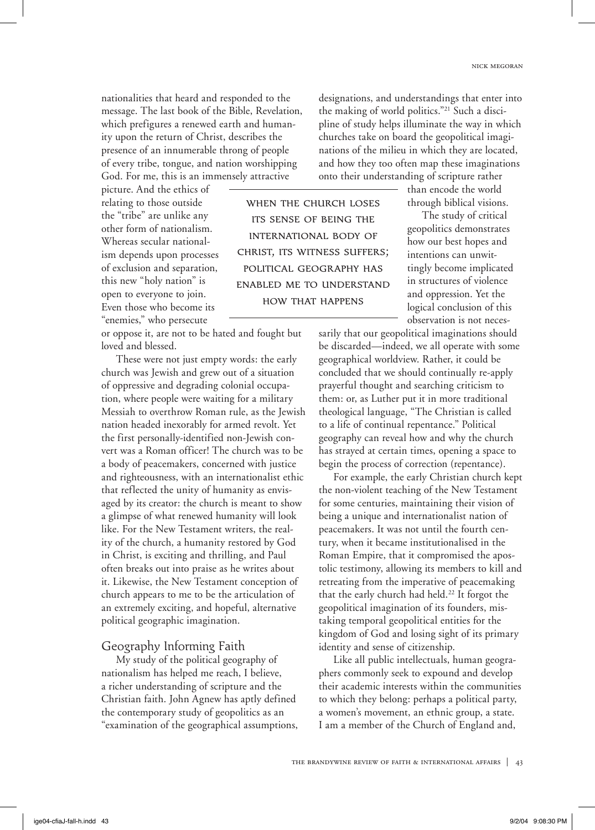nationalities that heard and responded to the message. The last book of the Bible, Revelation, which prefigures a renewed earth and humanity upon the return of Christ, describes the presence of an innumerable throng of people of every tribe, tongue, and nation worshipping God. For me, this is an immensely attractive

picture. And the ethics of relating to those outside the "tribe" are unlike any other form of nationalism. Whereas secular nationalism depends upon processes of exclusion and separation, this new "holy nation" is open to everyone to join. Even those who become its "enemies," who persecute

or oppose it, are not to be hated and fought but loved and blessed.

These were not just empty words: the early church was Jewish and grew out of a situation of oppressive and degrading colonial occupation, where people were waiting for a military Messiah to overthrow Roman rule, as the Jewish nation headed inexorably for armed revolt. Yet the first personally-identified non-Jewish convert was a Roman officer! The church was to be a body of peacemakers, concerned with justice and righteousness, with an internationalist ethic that reflected the unity of humanity as envisaged by its creator: the church is meant to show a glimpse of what renewed humanity will look like. For the New Testament writers, the reality of the church, a humanity restored by God in Christ, is exciting and thrilling, and Paul often breaks out into praise as he writes about it. Likewise, the New Testament conception of church appears to me to be the articulation of an extremely exciting, and hopeful, alternative political geographic imagination.

#### Geography Informing Faith

My study of the political geography of nationalism has helped me reach, I believe, a richer understanding of scripture and the Christian faith. John Agnew has aptly defined the contemporary study of geopolitics as an "examination of the geographical assumptions,

designations, and understandings that enter into the making of world politics."21 Such a discipline of study helps illuminate the way in which churches take on board the geopolitical imaginations of the milieu in which they are located, and how they too often map these imaginations onto their understanding of scripture rather

when the church loses its sense of being the international body of christ, its witness suffers; political geography has enabled me to understand HOW THAT HAPPENS

than encode the world through biblical visions.

The study of critical geopolitics demonstrates how our best hopes and intentions can unwittingly become implicated in structures of violence and oppression. Yet the logical conclusion of this observation is not neces-

sarily that our geopolitical imaginations should be discarded—indeed, we all operate with some geographical worldview. Rather, it could be concluded that we should continually re-apply prayerful thought and searching criticism to them: or, as Luther put it in more traditional theological language, "The Christian is called to a life of continual repentance." Political geography can reveal how and why the church has strayed at certain times, opening a space to begin the process of correction (repentance).

For example, the early Christian church kept the non-violent teaching of the New Testament for some centuries, maintaining their vision of being a unique and internationalist nation of peacemakers. It was not until the fourth century, when it became institutionalised in the Roman Empire, that it compromised the apostolic testimony, allowing its members to kill and retreating from the imperative of peacemaking that the early church had held.<sup>22</sup> It forgot the geopolitical imagination of its founders, mistaking temporal geopolitical entities for the kingdom of God and losing sight of its primary identity and sense of citizenship.

Like all public intellectuals, human geographers commonly seek to expound and develop their academic interests within the communities to which they belong: perhaps a political party, a women's movement, an ethnic group, a state. I am a member of the Church of England and,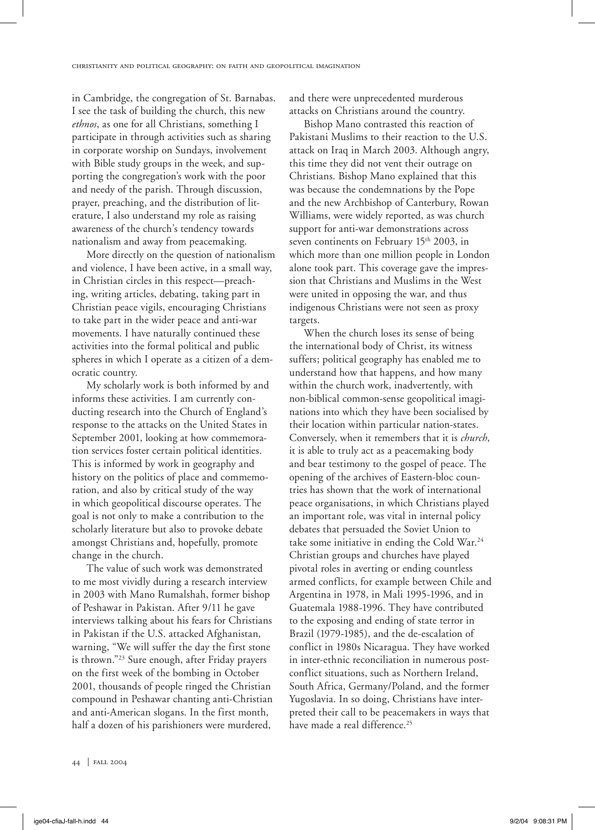in Cambridge, the congregation of St. Barnabas. I see the task of building the church, this new *ethnos*, as one for all Christians, something I participate in through activities such as sharing in corporate worship on Sundays, involvement with Bible study groups in the week, and supporting the congregation's work with the poor and needy of the parish. Through discussion, prayer, preaching, and the distribution of literature, I also understand my role as raising awareness of the church's tendency towards nationalism and away from peacemaking.

More directly on the question of nationalism and violence, I have been active, in a small way, in Christian circles in this respect—preaching, writing articles, debating, taking part in Christian peace vigils, encouraging Christians to take part in the wider peace and anti-war movements. I have naturally continued these activities into the formal political and public spheres in which I operate as a citizen of a democratic country.

My scholarly work is both informed by and informs these activities. I am currently conducting research into the Church of England's response to the attacks on the United States in September 2001, looking at how commemoration services foster certain political identities. This is informed by work in geography and history on the politics of place and commemoration, and also by critical study of the way in which geopolitical discourse operates. The goal is not only to make a contribution to the scholarly literature but also to provoke debate amongst Christians and, hopefully, promote change in the church.

The value of such work was demonstrated to me most vividly during a research interview in 2003 with Mano Rumalshah, former bishop of Peshawar in Pakistan. After 9/11 he gave interviews talking about his fears for Christians in Pakistan if the U.S. attacked Afghanistan, warning, "We will suffer the day the first stone is thrown."23 Sure enough, after Friday prayers on the first week of the bombing in October 2001, thousands of people ringed the Christian compound in Peshawar chanting anti-Christian and anti-American slogans. In the first month, half a dozen of his parishioners were murdered,

and there were unprecedented murderous attacks on Christians around the country.

Bishop Mano contrasted this reaction of Pakistani Muslims to their reaction to the U.S. attack on Iraq in March 2003. Although angry, this time they did not vent their outrage on Christians. Bishop Mano explained that this was because the condemnations by the Pope and the new Archbishop of Canterbury, Rowan Williams, were widely reported, as was church support for anti-war demonstrations across seven continents on February 15<sup>th</sup> 2003, in which more than one million people in London alone took part. This coverage gave the impression that Christians and Muslims in the West were united in opposing the war, and thus indigenous Christians were not seen as proxy targets.

When the church loses its sense of being the international body of Christ, its witness suffers; political geography has enabled me to understand how that happens, and how many within the church work, inadvertently, with non-biblical common-sense geopolitical imaginations into which they have been socialised by their location within particular nation-states. Conversely, when it remembers that it is *church*, it is able to truly act as a peacemaking body and bear testimony to the gospel of peace. The opening of the archives of Eastern-bloc countries has shown that the work of international peace organisations, in which Christians played an important role, was vital in internal policy debates that persuaded the Soviet Union to take some initiative in ending the Cold War.<sup>24</sup> Christian groups and churches have played pivotal roles in averting or ending countless armed conflicts, for example between Chile and Argentina in 1978, in Mali 1995-1996, and in Guatemala 1988-1996. They have contributed to the exposing and ending of state terror in Brazil (1979-1985), and the de-escalation of conflict in 1980s Nicaragua. They have worked in inter-ethnic reconciliation in numerous postconflict situations, such as Northern Ireland, South Africa, Germany/Poland, and the former Yugoslavia. In so doing, Christians have interpreted their call to be peacemakers in ways that have made a real difference.<sup>25</sup>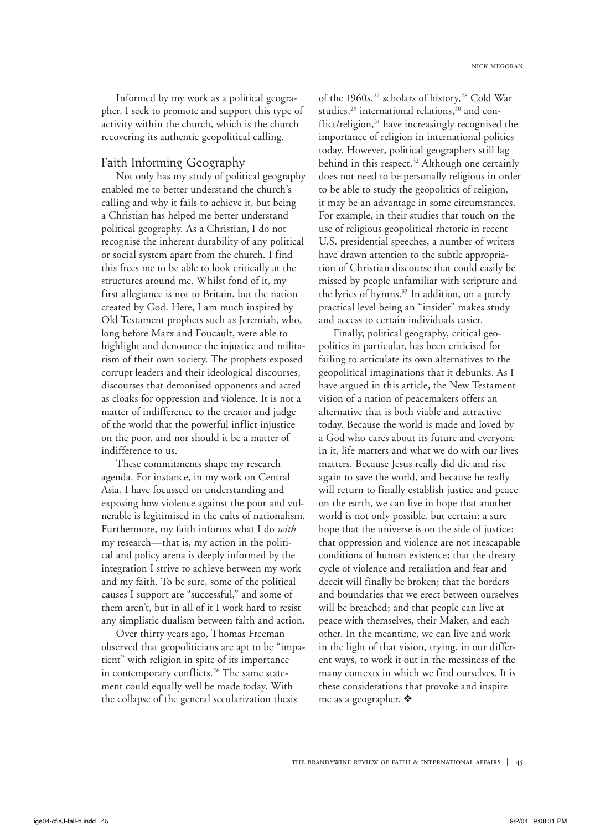Informed by my work as a political geographer, I seek to promote and support this type of activity within the church, which is the church recovering its authentic geopolitical calling.

### Faith Informing Geography

Not only has my study of political geography enabled me to better understand the church's calling and why it fails to achieve it, but being a Christian has helped me better understand political geography. As a Christian, I do not recognise the inherent durability of any political or social system apart from the church. I find this frees me to be able to look critically at the structures around me. Whilst fond of it, my first allegiance is not to Britain, but the nation created by God. Here, I am much inspired by Old Testament prophets such as Jeremiah, who, long before Marx and Foucault, were able to highlight and denounce the injustice and militarism of their own society. The prophets exposed corrupt leaders and their ideological discourses, discourses that demonised opponents and acted as cloaks for oppression and violence. It is not a matter of indifference to the creator and judge of the world that the powerful inflict injustice on the poor, and nor should it be a matter of indifference to us.

These commitments shape my research agenda. For instance, in my work on Central Asia, I have focussed on understanding and exposing how violence against the poor and vulnerable is legitimised in the cults of nationalism. Furthermore, my faith informs what I do *with* my research—that is, my action in the political and policy arena is deeply informed by the integration I strive to achieve between my work and my faith. To be sure, some of the political causes I support are "successful," and some of them aren't, but in all of it I work hard to resist any simplistic dualism between faith and action.

Over thirty years ago, Thomas Freeman observed that geopoliticians are apt to be "impatient" with religion in spite of its importance in contemporary conflicts.<sup>26</sup> The same statement could equally well be made today. With the collapse of the general secularization thesis

of the 1960s,<sup>27</sup> scholars of history,<sup>28</sup> Cold War studies, $29$  international relations, $30$  and conflict/religion,<sup>31</sup> have increasingly recognised the importance of religion in international politics today. However, political geographers still lag behind in this respect.<sup>32</sup> Although one certainly does not need to be personally religious in order to be able to study the geopolitics of religion, it may be an advantage in some circumstances. For example, in their studies that touch on the use of religious geopolitical rhetoric in recent U.S. presidential speeches, a number of writers have drawn attention to the subtle appropriation of Christian discourse that could easily be missed by people unfamiliar with scripture and the lyrics of hymns.<sup>33</sup> In addition, on a purely practical level being an "insider" makes study and access to certain individuals easier.

Finally, political geography, critical geopolitics in particular, has been criticised for failing to articulate its own alternatives to the geopolitical imaginations that it debunks. As I have argued in this article, the New Testament vision of a nation of peacemakers offers an alternative that is both viable and attractive today. Because the world is made and loved by a God who cares about its future and everyone in it, life matters and what we do with our lives matters. Because Jesus really did die and rise again to save the world, and because he really will return to finally establish justice and peace on the earth, we can live in hope that another world is not only possible, but certain: a sure hope that the universe is on the side of justice; that oppression and violence are not inescapable conditions of human existence; that the dreary cycle of violence and retaliation and fear and deceit will finally be broken; that the borders and boundaries that we erect between ourselves will be breached; and that people can live at peace with themselves, their Maker, and each other. In the meantime, we can live and work in the light of that vision, trying, in our different ways, to work it out in the messiness of the many contexts in which we find ourselves. It is these considerations that provoke and inspire me as a geographer. ❖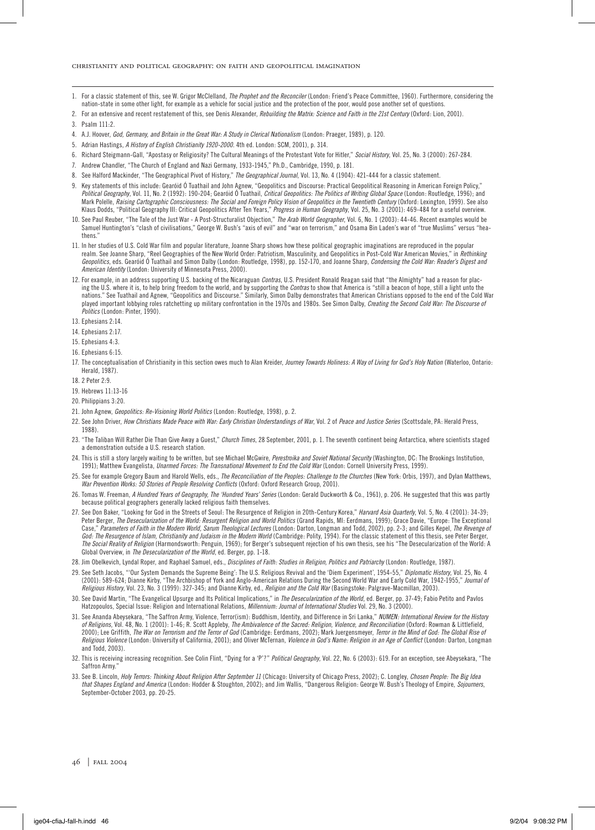#### christianity and political geography: on faith and geopolitical imagination

- 1. For a classic statement of this, see W. Grigor McClelland, The Prophet and the Reconciler (London: Friend's Peace Committee, 1960). Furthermore, considering the nation-state in some other light, for example as a vehicle for social justice and the protection of the poor, would pose another set of questions.
- 2. For an extensive and recent restatement of this, see Denis Alexander, Rebuilding the Matrix: Science and Faith in the 21st Century (Oxford: Lion, 2001).

3. Psalm 111:2.

- 4. A.J. Hoover, God, Germany, and Britain in the Great War: A Study in Clerical Nationalism (London: Praeger, 1989), p. 120.
- 5. Adrian Hastings, A History of English Christianity 1920-2000. 4th ed. London: SCM, 2001), p. 314.
- 6. Richard Steigmann-Gall, "Apostasy or Religiosity? The Cultural Meanings of the Protestant Vote for Hitler," Social History, Vol. 25, No. 3 (2000): 267-284.
- 7. Andrew Chandler, "The Church of England and Nazi Germany, 1933-1945," Ph.D., Cambridge, 1990, p. 181.
- 8. See Halford Mackinder, "The Geographical Pivot of History," The Geographical Journal, Vol. 13, No. 4 (1904): 421-444 for a classic statement.
- 9. Key statements of this include: Gearóid Ó Tuathail and John Agnew, "Geopolitics and Discourse: Practical Geopolitical Reasoning in American Foreign Policy," Political Geography, Vol. 11, No. 2 (1992): 190-204; Gearóid Ó Tuathail, Critical Geopolitics: The Politics of Writing Global Space (London: Routledge, 1996); and Mark Polelle, Raising Cartographic Consciousness: The Social and Foreign Policy Vision of Geopolitics in the Twentieth Century (Oxford: Lexington, 1999). See also Klaus Dodds, "Political Geography III: Critical Geopolitics After Ten Years," Progress in Human Geography, Vol. 25, No. 3 (2001): 469-484 for a useful overview.
- 10. See Paul Reuber, "The Tale of the Just War A Post-Structuralist Objection," The Arab World Geographer, Vol. 6, No. 1 (2003): 44-46. Recent examples would be Samuel Huntington's "clash of civilisations," George W. Bush's "axis of evil" and "war on terrorism," and Osama Bin Laden's war of "true Muslims" versus "heathens."
- 11. In her studies of U.S. Cold War film and popular literature, Joanne Sharp shows how these political geographic imaginations are reproduced in the popular realm. See Joanne Sharp, "Reel Geographies of the New World Order: Patriotism, Masculinity, and Geopolitics in Post-Cold War American Movies," in *Rethinking*<br>*Geopolitics*, eds. Gearóid Ó Tuathail and Simon Dalby (London: American Identity (London: University of Minnesota Press, 2000).
- 12. For example, in an address supporting U.S. backing of the Nicaraguan Contras, U.S. President Ronald Reagan said that "the Almighty" had a reason for placing the U.S. where it is, to help bring freedom to the world, and by supporting the Contras to show that America is "still a beacon of hope, still a light unto the nations." See Tuathail and Agnew, "Geopolitics and Discourse." Similarly, Simon Dalby demonstrates that American Christians opposed to the end of the Cold War played important lobbying roles ratchetting up military confrontation in the 1970s and 1980s. See Simon Dalby, Creating the Second Cold War: The Discourse of Politics (London: Pinter, 1990).
- 13. Ephesians 2:14.
- 14. Ephesians 2:17.
- 15. Ephesians 4:3.
- 16. Ephesians 6:15.
- 17. The conceptualisation of Christianity in this section owes much to Alan Kreider, Journey Towards Holiness: A Way of Living for God's Holy Nation (Waterloo, Ontario: Herald, 1987).
- 18. 2 Peter 2:9.
- 19. Hebrews 11:13-16
- 20. Philippians 3:20.
- 21. John Agnew, Geopolitics: Re-Visioning World Politics (London: Routledge, 1998), p. 2.
- 22. See John Driver, How Christians Made Peace with War: Early Christian Understandings of War, Vol. 2 of Peace and Justice Series (Scottsdale, PA: Herald Press, 1988).
- 23. "The Taliban Will Rather Die Than Give Away a Guest," Church Times, 28 September, 2001, p. 1. The seventh continent being Antarctica, where scientists staged a demonstration outside a U.S. research station.
- 24. This is still a story largely waiting to be written, but see Michael McGwire, Perestroika and Soviet National Security (Washington, DC: The Brookings Institution, 1991); Matthew Evangelista, Unarmed Forces: The Transnational Movement to End the Cold War (London: Cornell University Press, 1999).
- 25. See for example Gregory Baum and Harold Wells, eds., The Reconciliation of the Peoples: Challenge to the Churches (New York: Orbis, 1997), and Dylan Matthews, War Prevention Works: 50 Stories of People Resolving Conflicts (Oxford: Oxford Research Group, 2001).
- 26. Tomas W. Freeman, A Hundred Years of Geography, The 'Hundred Years' Series (London: Gerald Duckworth & Co., 1961), p. 206. He suggested that this was partly because political geographers generally lacked religious faith themselves.
- 27. See Don Baker, "Looking for God in the Streets of Seoul: The Resurgence of Religion in 20th-Century Korea," Harvard Asia Quarterly, Vol. 5, No. 4 (2001): 34-39; Peter Berger, The Desecularization of the World: Resurgent Religion and World Politics (Grand Rapids, MI: Eerdmans, 1999); Grace Davie, "Europe: The Exceptional Case," Parameters of Faith in the Modern World, Sarum Theological Lectures (London: Darton, Longman and Todd, 2002), pp. 2-3; and Gilles Kepel, The Revenge of God: The Resurgence of Islam, Christianity and Judaism in the Modern World (Cambridge: Polity, 1994). For the classic statement of this thesis, see Peter Berger, The Social Reality of Religion (Harmondsworth: Penguin, 1969); for Berger's subsequent rejection of this own thesis, see his "The Desecularization of the World: A Global Overview, in The Desecularization of the World, ed. Berger, pp. 1-18.
- 28. Jim Obelkevich, Lyndal Roper, and Raphael Samuel, eds., Disciplines of Faith: Studies in Religion, Politics and Patriarchy (London: Routledge, 1987).
- 29. See Seth Jacobs, "'Our System Demands the Supreme Being': The U.S. Religious Revival and the 'Diem Experiment', 1954-55," Diplomatic History, Vol. 25, No. 4 (2001): 589-624; Dianne Kirby, "The Archbishop of York and Anglo-American Relations During the Second World War and Early Cold War, 1942-1955," Journal of Religious History, Vol. 23, No. 3 (1999): 327-345; and Dianne Kirby, ed., Religion and the Cold War (Basingstoke: Palgrave-Macmillan, 2003).
- 30. See David Martin, "The Evangelical Upsurge and Its Political Implications," in The Desecularization of the World, ed. Berger, pp. 37-49; Fabio Petito and Pavlos Hatzopoulos, Special Issue: Religion and International Relations, Millennium: Journal of International Studies Vol. 29, No. 3 (2000).
- 31. See Ananda Abeysekara, "The Saffron Army, Violence, Terror(ism): Buddhism, Identity, and Difference in Sri Lanka," NUMEN: International Review for the History *of Religions*, Vol. 48, No. 1 (2001): 1-46; R. Scott Appleby, *The Ambivalence of the Sacred: Religion, Violence, and Reconciliation* (Oxford: Rowman & Littlefield,<br>2000); Lee Griffith, *The War on Terrorism and the Terro* Religious Violence (London: University of California, 2001); and Oliver McTernan, Violence in God's Name: Religion in an Age of Conflict (London: Darton, Longman and Todd, 2003).
- 32. This is receiving increasing recognition. See Colin Flint, "Dying for a 'P'?" Political Geography, Vol. 22, No. 6 (2003): 619. For an exception, see Abeysekara, "The Saffron Army."
- 33. See B. Lincoln, Holy Terrors: Thinking About Religion After September 11 (Chicago: University of Chicago Press, 2002); C. Longley, Chosen People: The Big Idea that Shapes England and America (London: Hodder & Stoughton, 2002); and Jim Wallis, "Dangerous Religion: George W. Bush's Theology of Empire, Sojourners, September-October 2003, pp. 20-25.

46 | fall 2004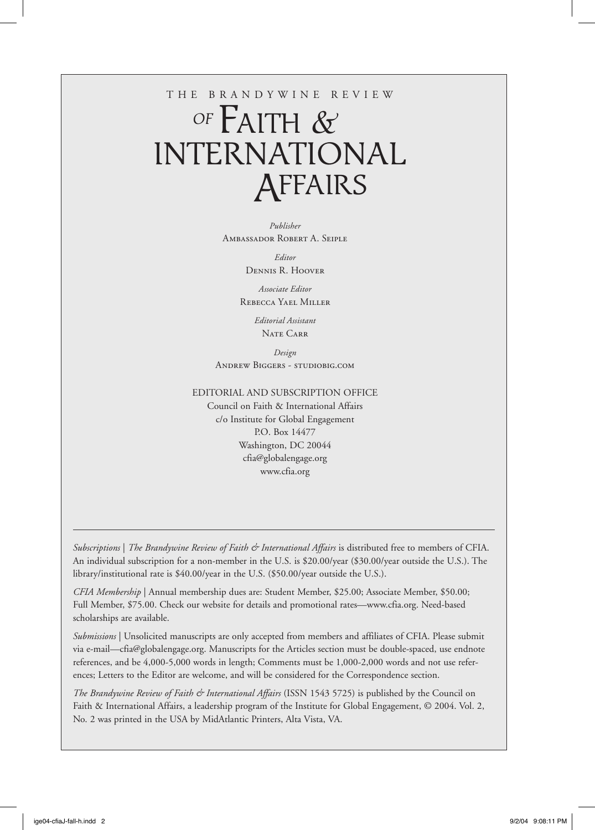#### T H E B R A N D Y W I N E R E V I E W

## INTERNATIONAL *OF* FAITH *&* AFFAIRS

*Publisher* Ambassador Robert A. Seiple

> *Editor* Dennis R. Hoover

*Associate Editor* Rebecca Yael Miller

> *Editorial Assistant* Nate Carr

*Design* Andrew Biggers - studiobig.com

#### EDITORIAL AND SUBSCRIPTION OFFICE

Council on Faith & International Affairs c/o Institute for Global Engagement P.O. Box 14477 Washington, DC 20044 cfia@globalengage.org www.cfia.org

*Subscriptions* | *The Brandywine Review of Faith & International Affairs* is distributed free to members of CFIA. An individual subscription for a non-member in the U.S. is \$20.00/year (\$30.00/year outside the U.S.). The library/institutional rate is \$40.00/year in the U.S. (\$50.00/year outside the U.S.).

*CFIA Membership* | Annual membership dues are: Student Member, \$25.00; Associate Member, \$50.00; Full Member, \$75.00. Check our website for details and promotional rates—www.cfia.org. Need-based scholarships are available.

*Submissions* | Unsolicited manuscripts are only accepted from members and affiliates of CFIA. Please submit via e-mail—cfia@globalengage.org. Manuscripts for the Articles section must be double-spaced, use endnote references, and be 4,000-5,000 words in length; Comments must be 1,000-2,000 words and not use references; Letters to the Editor are welcome, and will be considered for the Correspondence section.

*The Brandywine Review of Faith & International Affairs* (ISSN 1543 5725) is published by the Council on Faith & International Affairs, a leadership program of the Institute for Global Engagement, © 2004. Vol. 2, No. 2 was printed in the USA by MidAtlantic Printers, Alta Vista, VA.